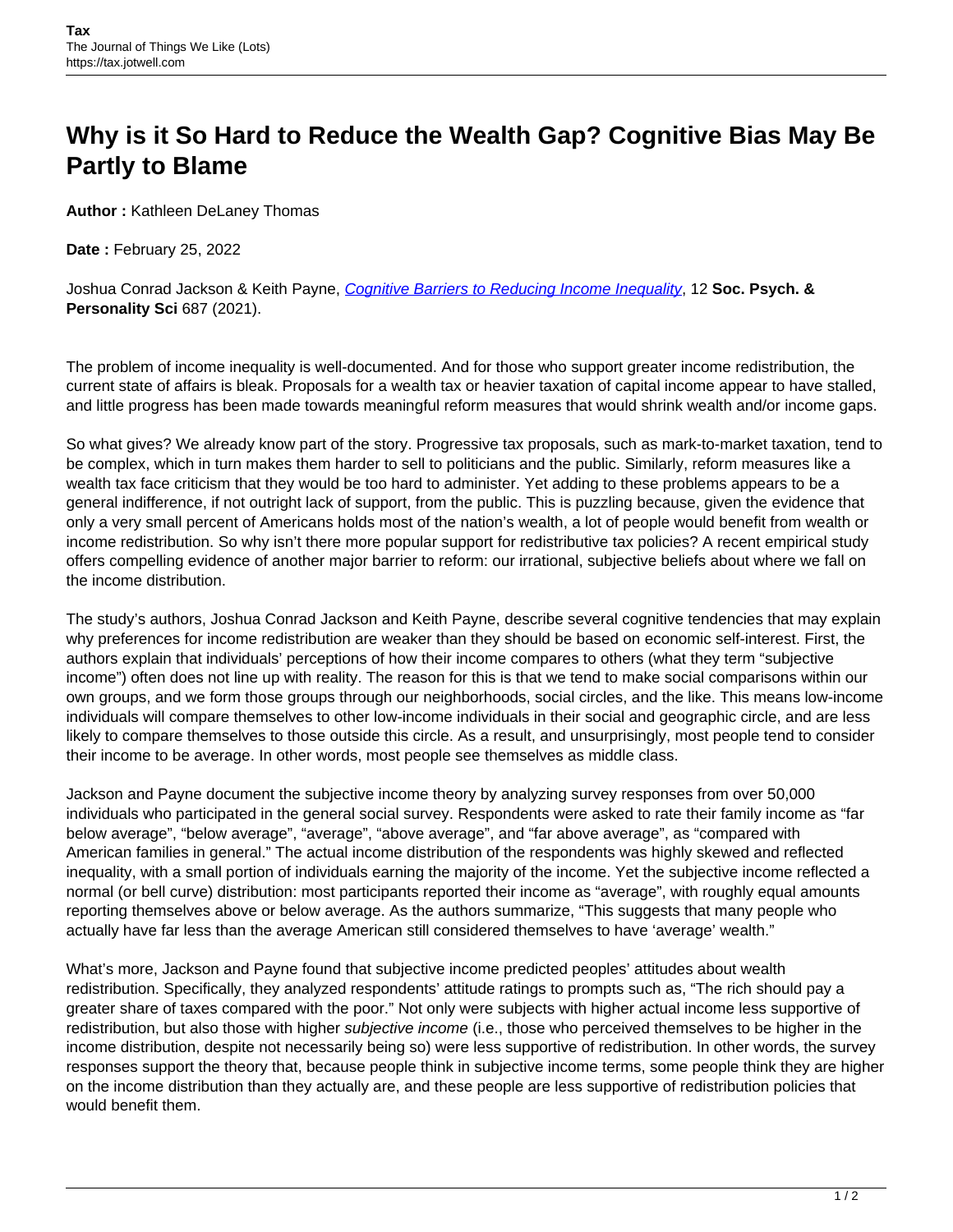## **Why is it So Hard to Reduce the Wealth Gap? Cognitive Bias May Be Partly to Blame**

**Author :** Kathleen DeLaney Thomas

**Date :** February 25, 2022

Joshua Conrad Jackson & Keith Payne, [Cognitive Barriers to Reducing Income Inequality](https://journals.sagepub.com/doi/full/10.1177/1948550620934597), 12 **Soc. Psych. & Personality Sci** 687 (2021).

The problem of income inequality is well-documented. And for those who support greater income redistribution, the current state of affairs is bleak. Proposals for a wealth tax or heavier taxation of capital income appear to have stalled, and little progress has been made towards meaningful reform measures that would shrink wealth and/or income gaps.

So what gives? We already know part of the story. Progressive tax proposals, such as mark-to-market taxation, tend to be complex, which in turn makes them harder to sell to politicians and the public. Similarly, reform measures like a wealth tax face criticism that they would be too hard to administer. Yet adding to these problems appears to be a general indifference, if not outright lack of support, from the public. This is puzzling because, given the evidence that only a very small percent of Americans holds most of the nation's wealth, a lot of people would benefit from wealth or income redistribution. So why isn't there more popular support for redistributive tax policies? A recent empirical study offers compelling evidence of another major barrier to reform: our irrational, subjective beliefs about where we fall on the income distribution.

The study's authors, Joshua Conrad Jackson and Keith Payne, describe several cognitive tendencies that may explain why preferences for income redistribution are weaker than they should be based on economic self-interest. First, the authors explain that individuals' perceptions of how their income compares to others (what they term "subjective income") often does not line up with reality. The reason for this is that we tend to make social comparisons within our own groups, and we form those groups through our neighborhoods, social circles, and the like. This means low-income individuals will compare themselves to other low-income individuals in their social and geographic circle, and are less likely to compare themselves to those outside this circle. As a result, and unsurprisingly, most people tend to consider their income to be average. In other words, most people see themselves as middle class.

Jackson and Payne document the subjective income theory by analyzing survey responses from over 50,000 individuals who participated in the general social survey. Respondents were asked to rate their family income as "far below average", "below average", "average", "above average", and "far above average", as "compared with American families in general." The actual income distribution of the respondents was highly skewed and reflected inequality, with a small portion of individuals earning the majority of the income. Yet the subjective income reflected a normal (or bell curve) distribution: most participants reported their income as "average", with roughly equal amounts reporting themselves above or below average. As the authors summarize, "This suggests that many people who actually have far less than the average American still considered themselves to have 'average' wealth."

What's more, Jackson and Payne found that subjective income predicted peoples' attitudes about wealth redistribution. Specifically, they analyzed respondents' attitude ratings to prompts such as, "The rich should pay a greater share of taxes compared with the poor." Not only were subjects with higher actual income less supportive of redistribution, but also those with higher *subjective income* (i.e., those who perceived themselves to be higher in the income distribution, despite not necessarily being so) were less supportive of redistribution. In other words, the survey responses support the theory that, because people think in subjective income terms, some people think they are higher on the income distribution than they actually are, and these people are less supportive of redistribution policies that would benefit them.